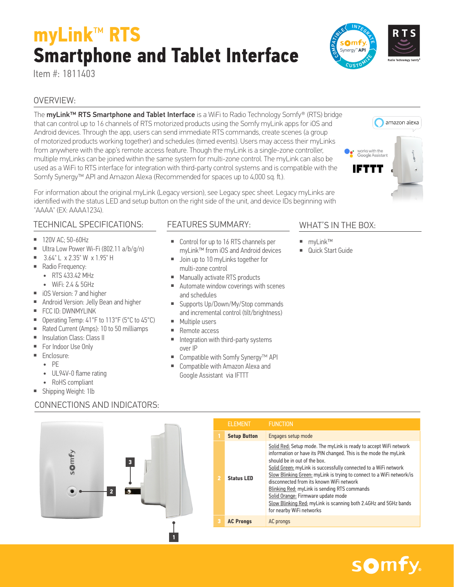# somfy.

## **myLink**™ **RTS Smartphone and Tablet Interface**

Item #: 1811403

#### OVERVIEW:

The myLink<sup>™</sup> RTS Smartphone and Tablet Interface is a WiFi to Radio Technology Somfy® (RTS) bridge that can control up to 16 channels of RTS motorized products using the Somfy myLink apps for iOS and Android devices. Through the app, users can send immediate RTS commands, create scenes (a group of motorized products working together) and schedules (timed events). Users may access their myLinks from anywhere with the app's remote access feature. Though the myLink is a single-zone controller, multiple myLinks can be joined within the same system for multi-zone control. The myLink can also be used as a WiFi to RTS interface for integration with third-party control systems and is compatible with the Somfy Synergy™ API and Amazon Alexa (Recommended for spaces up to 4,000 sq. ft.).

For information about the original myLink (Legacy version), see Legacy spec sheet. Legacy myLinks are identified with the status LED and setup button on the right side of the unit, and device IDs beginning with "AAAA" (EX: AAAA1234).

#### TECHNICAL SPECIFICATIONS:

- 120V AC; 50-60Hz
- Ultra Low Power Wi-Fi (802.11 a/b/g/n)
- 3.64" L x 2.35" W x 1.95" H
- Radio Frequency:
	- RTS 433.42 MHz
	- $\bullet$  WiFi $\cdot$  2 4 & 5GHz
- iOS Version: 7 and higher
- Android Version: Jelly Bean and higher
- FCC ID: DWNMYLINK
- Operating Temp: 41°F to 113°F (5°C to 45°C)
- Rated Current (Amps): 10 to 50 milliamps
- Insulation Class: Class II
- For Indoor Use Only
- Enclosure:
	- PE
	- UL94V-0 flame rating

 $50<sub>mt</sub>$ 

- RoHS compliant
- Shipping Weight: 1lb

### CONNECTIONS AND INDICATORS:

**2**

**3**



### FEATURES SUMMARY:

- Control for up to 16 RTS channels per myLink™ from iOS and Android devices
- Join up to 10 myLinks together for multi-zone control
- Manually activate RTS products
- Automate window coverings with scenes and schedules
- Supports Up/Down/My/Stop commands and incremental control (tilt/brightness)
- Multiple users
- Remote access
- Integration with third-party systems over IP
- Compatible with Somfy Synergy<sup>™</sup> API
- Compatible with Amazon Alexa and Google Assistant via IFTTT

#### WHAT'S IN THE BOX:

ဇ

- myLink™
- Quick Start Guide



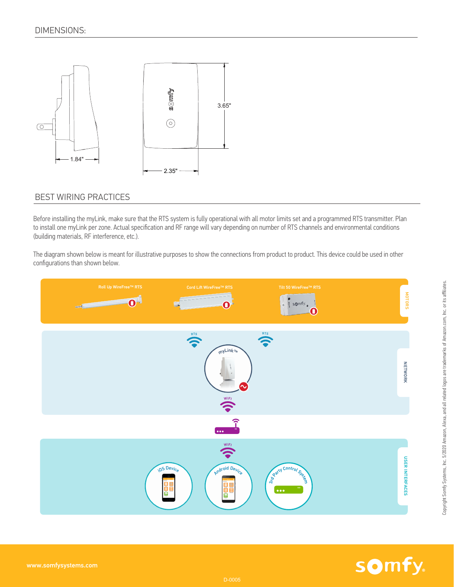

#### BEST WIRING PRACTICES

Before installing the myLink, make sure that the RTS system is fully operational with all motor limits set and a programmed RTS transmitter. Plan to install one myLink per zone. Actual specification and RF range will vary depending on number of RTS channels and environmental conditions (building materials, RF interference, etc.).

The diagram shown below is meant for illustrative purposes to show the connections from product to product. This device could be used in other configurations than shown below.



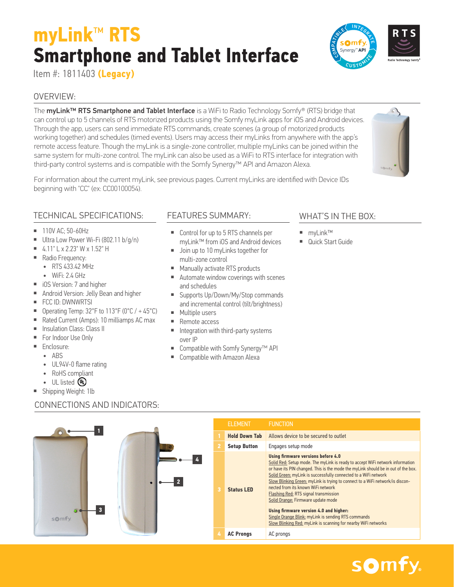### somfy.

# **myLink**™ **RTS Smartphone and Tablet Interface**

Item #: 1811403 **(Legacy)**

#### OVERVIEW:

The myLink<sup>™</sup> RTS Smartphone and Tablet Interface is a WiFi to Radio Technology Somfy® (RTS) bridge that can control up to 5 channels of RTS motorized products using the Somfy myLink apps for iOS and Android devices. Through the app, users can send immediate RTS commands, create scenes (a group of motorized products working together) and schedules (timed events). Users may access their myLinks from anywhere with the app's remote access feature. Though the myLink is a single-zone controller, multiple myLinks can be joined within the same system for multi-zone control. The myLink can also be used as a WiFi to RTS interface for integration with third-party control systems and is compatible with the Somfy Synergy™ API and Amazon Alexa.

For information about the current myLink, see previous pages. Current myLinks are identified with Device IDs beginning with "CC" (ex: CC00100054).

### TECHNICAL SPECIFICATIONS:

- 110V AC: 50-60Hz
- Ultra Low Power Wi-Fi (802.11 b/g/n)
- $= 4.11$ " L x 2.23" W x 1.52" H
- Radio Frequency:
- RTS 433.42 MHz
	- WiFi: 2.4 GHz
- iOS Version: 7 and higher
- Android Version: Jelly Bean and higher
- FCC ID: DWNWRTSI
- Operating Temp:  $32^{\circ}$ F to  $113^{\circ}$ F (0 $^{\circ}$ C) + 45 $^{\circ}$ C)
- Rated Current (Amps): 10 milliamps AC max

CONNECTIONS AND INDICATORS:

- Insulation Class: Class II
- For Indoor Use Only
- Enclosure:
	- ABS
	- UL94V-0 flame rating
	- RoHS compliant
	- $UL$  listed  $(D)$
- Shipping Weight: 1lb

#### FEATURES SUMMARY:

- Control for up to 5 RTS channels per myLink™ from iOS and Android devices
- Join up to 10 myLinks together for multi-zone control
- Manually activate RTS products
- Automate window coverings with scenes and schedules
- Supports Up/Down/My/Stop commands and incremental control (tilt/brightness)
- Multiple users
- Remote access
- Integration with third-party systems over IP
- Compatible with Somfy Synergy™ API
- Compatible with Amazon Alexa

#### WHAT'S IN THE BOX:

ဇ

- myLink™
- Quick Start Guide